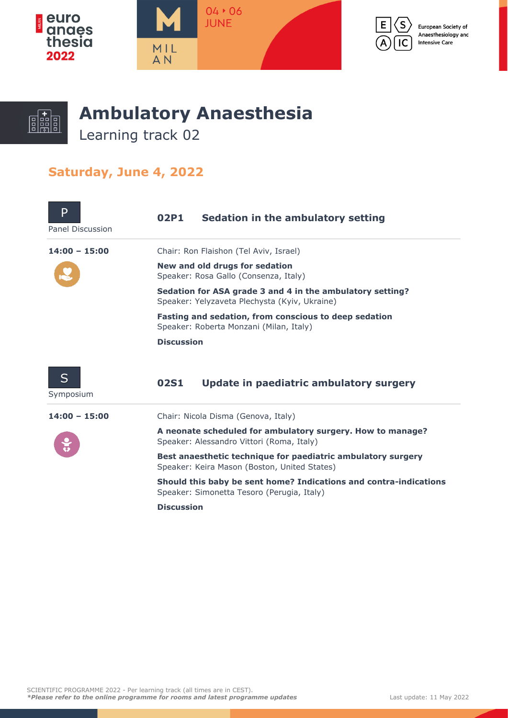



European Society of Anaesthesiology and **Intensive Care** 



## **Ambulatory Anaesthesia**

Learning track 02

## **Saturday, June 4, 2022**

| P<br>Panel Discussion | 02P1                                                                                                       | Sedation in the ambulatory setting      |  |
|-----------------------|------------------------------------------------------------------------------------------------------------|-----------------------------------------|--|
| $14:00 - 15:00$       |                                                                                                            | Chair: Ron Flaishon (Tel Aviv, Israel)  |  |
|                       | New and old drugs for sedation<br>Speaker: Rosa Gallo (Consenza, Italy)                                    |                                         |  |
|                       | Sedation for ASA grade 3 and 4 in the ambulatory setting?<br>Speaker: Yelyzaveta Plechysta (Kyiv, Ukraine) |                                         |  |
|                       | Fasting and sedation, from conscious to deep sedation<br>Speaker: Roberta Monzani (Milan, Italy)           |                                         |  |
|                       | <b>Discussion</b>                                                                                          |                                         |  |
| S<br>Symposium        | <b>02S1</b>                                                                                                | Update in paediatric ambulatory surgery |  |
| $14:00 - 15:00$       |                                                                                                            | Chair: Nicola Disma (Genova, Italy)     |  |

**A neonate scheduled for ambulatory surgery. How to manage?** Speaker: Alessandro Vittori (Roma, Italy)

**Best anaesthetic technique for paediatric ambulatory surgery** Speaker: Keira Mason (Boston, United States)

**Should this baby be sent home? Indications and contra-indications** Speaker: Simonetta Tesoro (Perugia, Italy)

**Discussion**